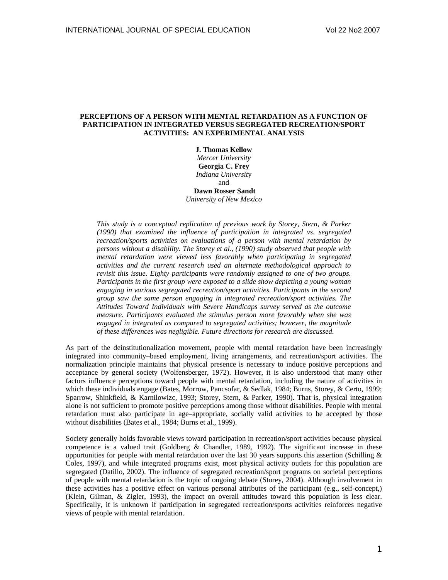# **PERCEPTIONS OF A PERSON WITH MENTAL RETARDATION AS A FUNCTION OF PARTICIPATION IN INTEGRATED VERSUS SEGREGATED RECREATION/SPORT ACTIVITIES: AN EXPERIMENTAL ANALYSIS**

**J. Thomas Kellow** 

*Mercer University*  **Georgia C. Frey**  *Indiana Universit*y and  **Dawn Rosser Sandt** 

*University of New Mexico* 

*This study is a conceptual replication of previous work by Storey, Stern, & Parker (1990) that examined the influence of participation in integrated vs. segregated recreation/sports activities on evaluations of a person with mental retardation by persons without a disability. The Storey et al., (1990) study observed that people with mental retardation were viewed less favorably when participating in segregated activities and the current research used an alternate methodological approach to revisit this issue. Eighty participants were randomly assigned to one of two groups. Participants in the first group were exposed to a slide show depicting a young woman engaging in various segregated recreation/sport activities. Participants in the second group saw the same person engaging in integrated recreation/sport activities. The Attitudes Toward Individuals with Severe Handicaps survey served as the outcome measure. Participants evaluated the stimulus person more favorably when she was engaged in integrated as compared to segregated activities; however, the magnitude of these differences was negligible. Future directions for research are discussed.* 

As part of the deinstitutionalization movement, people with mental retardation have been increasingly integrated into community–based employment, living arrangements, and recreation/sport activities. The normalization principle maintains that physical presence is necessary to induce positive perceptions and acceptance by general society (Wolfensberger, 1972). However, it is also understood that many other factors influence perceptions toward people with mental retardation, including the nature of activities in which these individuals engage (Bates, Morrow, Pancsofar, & Sedlak, 1984; Burns, Storey, & Certo, 1999; Sparrow, Shinkfield, & Karnilowizc, 1993; Storey, Stern, & Parker, 1990). That is, physical integration alone is not sufficient to promote positive perceptions among those without disabilities. People with mental retardation must also participate in age–appropriate, socially valid activities to be accepted by those without disabilities (Bates et al., 1984; Burns et al., 1999).

Society generally holds favorable views toward participation in recreation/sport activities because physical competence is a valued trait (Goldberg  $&$  Chandler, 1989, 1992). The significant increase in these opportunities for people with mental retardation over the last 30 years supports this assertion (Schilling  $\&$ Coles, 1997), and while integrated programs exist, most physical activity outlets for this population are segregated (Datillo, 2002). The influence of segregated recreation/sport programs on societal perceptions of people with mental retardation is the topic of ongoing debate (Storey, 2004). Although involvement in these activities has a positive effect on various personal attributes of the participant (e.g., self-concept,) (Klein, Gilman, & Zigler, 1993), the impact on overall attitudes toward this population is less clear. Specifically, it is unknown if participation in segregated recreation/sports activities reinforces negative views of people with mental retardation.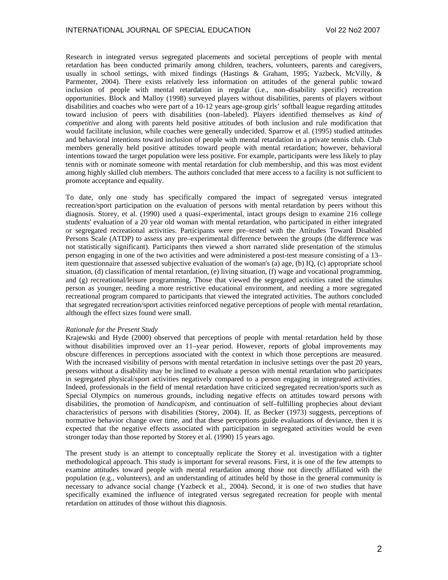Research in integrated versus segregated placements and societal perceptions of people with mental retardation has been conducted primarily among children, teachers, volunteers, parents and caregivers, usually in school settings, with mixed findings (Hastings & Graham, 1995; Yazbeck, McVilly, & Parmenter, 2004). There exists relatively less information on attitudes of the general public toward inclusion of people with mental retardation in regular (i.e., non–disability specific) recreation opportunities. Block and Malloy (1998) surveyed players without disabilities, parents of players without disabilities and coaches who were part of a 10-12 years age-group girls' softball league regarding attitudes toward inclusion of peers with disabilities (non–labeled). Players identified themselves as *kind of competitive* and along with parents held positive attitudes of both inclusion and rule modification that would facilitate inclusion, while coaches were generally undecided. Sparrow et al. (1995) studied attitudes and behavioral intentions toward inclusion of people with mental retardation in a private tennis club. Club members generally held positive attitudes toward people with mental retardation; however, behavioral intentions toward the target population were less positive. For example, participants were less likely to play tennis with or nominate someone with mental retardation for club membership, and this was most evident among highly skilled club members. The authors concluded that mere access to a facility is not sufficient to promote acceptance and equality.

To date, only one study has specifically compared the impact of segregated versus integrated recreation/sport participation on the evaluation of persons with mental retardation by peers without this diagnosis. Storey, et al. (1990) used a quasi–experimental, intact groups design to examine 216 college students' evaluation of a 20 year old woman with mental retardation, who participated in either integrated or segregated recreational activities. Participants were pre–tested with the Attitudes Toward Disabled Persons Scale (ATDP) to assess any pre–experimental difference between the groups (the difference was not statistically significant). Participants then viewed a short narrated slide presentation of the stimulus person engaging in one of the two activities and were administered a post-test measure consisting of a 13– item questionnaire that assessed subjective evaluation of the woman's (a) age, (b) IQ, (c) appropriate school situation, (d) classification of mental retardation, (e) living situation, (f) wage and vocational programming, and (g) recreational/leisure programming. Those that viewed the segregated activities rated the stimulus person as younger, needing a more restrictive educational environment, and needing a more segregated recreational program compared to participants that viewed the integrated activities. The authors concluded that segregated recreation/sport activities reinforced negative perceptions of people with mental retardation, although the effect sizes found were small.

### *Rationale for the Present Study*

Krajewski and Hyde (2000) observed that perceptions of people with mental retardation held by those without disabilities improved over an 11–year period. However, reports of global improvements may obscure differences in perceptions associated with the context in which those perceptions are measured. With the increased visibility of persons with mental retardation in inclusive settings over the past 20 years, persons without a disability may be inclined to evaluate a person with mental retardation who participates in segregated physical/sport activities negatively compared to a person engaging in integrated activities. Indeed, professionals in the field of mental retardation have criticized segregated recreation/sports such as Special Olympics on numerous grounds, including negative effects on attitudes toward persons with disabilities, the promotion of *handicapism*, and continuation of self–fulfilling prophecies about deviant characteristics of persons with disabilities (Storey, 2004). If, as Becker (1973) suggests, perceptions of normative behavior change over time, and that these perceptions guide evaluations of deviance, then it is expected that the negative effects associated with participation in segregated activities would be even stronger today than those reported by Storey et al. (1990) 15 years ago.

The present study is an attempt to conceptually replicate the Storey et al. investigation with a tighter methodological approach. This study is important for several reasons. First, it is one of the few attempts to examine attitudes toward people with mental retardation among those not directly affiliated with the population (e.g., volunteers), and an understanding of attitudes held by those in the general community is necessary to advance social change (Yazbeck et al., 2004). Second, it is one of two studies that have specifically examined the influence of integrated versus segregated recreation for people with mental retardation on attitudes of those without this diagnosis.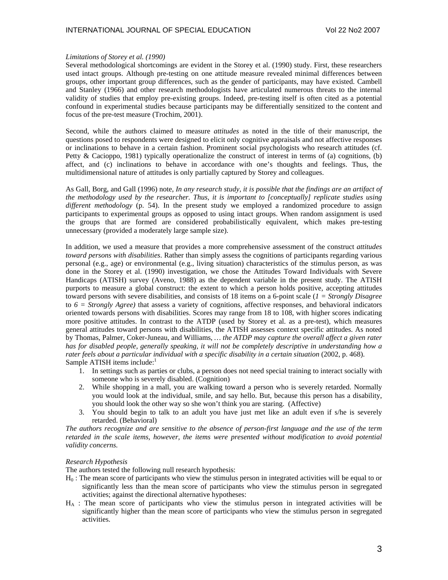### *Limitations of Storey et al. (1990)*

Several methodological shortcomings are evident in the Storey et al. (1990) study. First, these researchers used intact groups. Although pre-testing on one attitude measure revealed minimal differences between groups, other important group differences, such as the gender of participants, may have existed. Cambell and Stanley (1966) and other research methodologists have articulated numerous threats to the internal validity of studies that employ pre-existing groups. Indeed, pre-testing itself is often cited as a potential confound in experimental studies because participants may be differentially sensitized to the content and focus of the pre-test measure (Trochim, 2001).

Second, while the authors claimed to measure *attitudes* as noted in the title of their manuscript, the questions posed to respondents were designed to elicit only cognitive appraisals and not affective responses or inclinations to behave in a certain fashion. Prominent social psychologists who research attitudes (cf. Petty & Cacioppo, 1981) typically operationalize the construct of interest in terms of (a) cognitions, (b) affect, and (c) inclinations to behave in accordance with one's thoughts and feelings. Thus, the multidimensional nature of attitudes is only partially captured by Storey and colleagues.

As Gall, Borg, and Gall (1996) note, *In any research study, it is possible that the findings are an artifact of the methodology used by the researcher. Thus, it is important to [conceptually] replicate studies using different methodology* (p. 54). In the present study we employed a randomized procedure to assign participants to experimental groups as opposed to using intact groups. When random assignment is used the groups that are formed are considered probabilistically equivalent, which makes pre-testing unnecessary (provided a moderately large sample size).

In addition, we used a measure that provides a more comprehensive assessment of the construct *attitudes toward persons with disabilities*. Rather than simply assess the cognitions of participants regarding various personal (e.g., age) or environmental (e.g., living situation) characteristics of the stimulus person, as was done in the Storey et al. (1990) investigation, we chose the Attitudes Toward Individuals with Severe Handicaps (ATISH) survey (Aveno, 1988) as the dependent variable in the present study. The ATISH purports to measure a global construct: the extent to which a person holds positive, accepting attitudes toward persons with severe disabilities, and consists of 18 items on a 6-point scale (*1 = Strongly Disagree* to  $6 =$  *Strongly Agree*) that assess a variety of cognitions, affective responses, and behavioral indicators oriented towards persons with disabilities. Scores may range from 18 to 108, with higher scores indicating more positive attitudes. In contrast to the ATDP (used by Storey et al. as a pre-test), which measures general attitudes toward persons with disabilities, the ATISH assesses context specific attitudes. As noted by Thomas, Palmer, Coker-Juneau, and Williams, *… the ATDP may capture the overall affect a given rater has for disabled people, generally speaking, it will not be completely descriptive in understanding how a rater feels about a particular individual with a specific disability in a certain situation* (2002, p. 468). Sample ATISH items include:<sup>1</sup>

- 1. In settings such as parties or clubs, a person does not need special training to interact socially with someone who is severely disabled. (Cognition)
- 2. While shopping in a mall, you are walking toward a person who is severely retarded. Normally you would look at the individual, smile, and say hello. But, because this person has a disability, you should look the other way so she won't think you are staring. (Affective)
- 3. You should begin to talk to an adult you have just met like an adult even if s/he is severely retarded. (Behavioral)

*The authors recognize and are sensitive to the absence of person-first language and the use of the term retarded in the scale items, however, the items were presented without modification to avoid potential validity concerns.* 

#### *Research Hypothesis*

The authors tested the following null research hypothesis:

- $H_0$ : The mean score of participants who view the stimulus person in integrated activities will be equal to or significantly less than the mean score of participants who view the stimulus person in segregated activities; against the directional alternative hypotheses:
- $H_A$ : The mean score of participants who view the stimulus person in integrated activities will be significantly higher than the mean score of participants who view the stimulus person in segregated activities.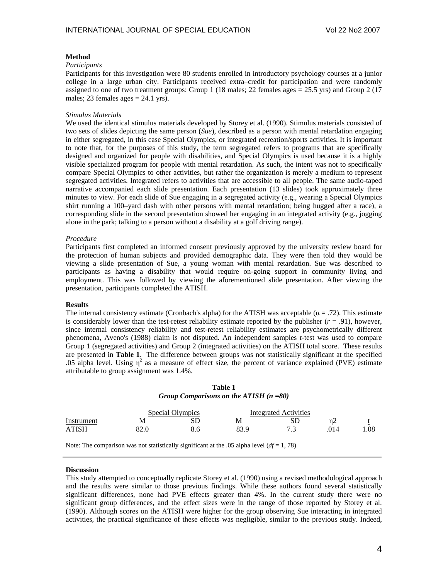## **Method**

#### *Participants*

Participants for this investigation were 80 students enrolled in introductory psychology courses at a junior college in a large urban city. Participants received extra–credit for participation and were randomly assigned to one of two treatment groups: Group 1 (18 males; 22 females ages  $= 25.5$  yrs) and Group 2 (17 males; 23 females ages  $= 24.1$  yrs).

## *Stimulus Materials*

We used the identical stimulus materials developed by Storey et al. (1990). Stimulus materials consisted of two sets of slides depicting the same person (*Sue*), described as a person with mental retardation engaging in either segregated, in this case Special Olympics, or integrated recreation/sports activities. It is important to note that, for the purposes of this study, the term segregated refers to programs that are specifically designed and organized for people with disabilities, and Special Olympics is used because it is a highly visible specialized program for people with mental retardation. As such, the intent was not to specifically compare Special Olympics to other activities, but rather the organization is merely a medium to represent segregated activities. Integrated refers to activities that are accessible to all people. The same audio-taped narrative accompanied each slide presentation. Each presentation (13 slides) took approximately three minutes to view. For each slide of Sue engaging in a segregated activity (e.g., wearing a Special Olympics shirt running a 100–yard dash with other persons with mental retardation; being hugged after a race), a corresponding slide in the second presentation showed her engaging in an integrated activity (e.g., jogging alone in the park; talking to a person without a disability at a golf driving range).

## *Procedure*

Participants first completed an informed consent previously approved by the university review board for the protection of human subjects and provided demographic data. They were then told they would be viewing a slide presentation of Sue, a young woman with mental retardation. Sue was described to participants as having a disability that would require on-going support in community living and employment. This was followed by viewing the aforementioned slide presentation. After viewing the presentation, participants completed the ATISH.

## **Results**

The internal consistency estimate (Cronbach's alpha) for the ATISH was acceptable ( $\alpha = .72$ ). This estimate is considerably lower than the test-retest reliability estimate reported by the publisher  $(r = .91)$ , however, since internal consistency reliability and test-retest reliability estimates are psychometrically different phenomena, Aveno's (1988) claim is not disputed. An independent samples *t*-test was used to compare Group 1 (segregated activities) and Group 2 (integrated activities) on the ATISH total score. These results are presented in **Table 1**. The difference between groups was not statistically significant at the specified .05 alpha level. Using  $\eta^2$  as a measure of effect size, the percent of variance explained (PVE) estimate attributable to group assignment was 1.4%.

| Table 1<br>Group Comparisons on the ATISH $(n = 80)$ |           |                               |           |                                     |            |     |
|------------------------------------------------------|-----------|-------------------------------|-----------|-------------------------------------|------------|-----|
| Instrument<br>ATISH                                  | M<br>82.0 | Special Olympics<br>SD<br>8.6 | М<br>83.9 | Integrated Activities<br>SD.<br>7.3 | n2<br>.014 | .08 |

Note: The comparison was not statistically significant at the .05 alpha level (*df* = 1, 78)

## **Discussion**

This study attempted to conceptually replicate Storey et al. (1990) using a revised methodological approach and the results were similar to those previous findings. While these authors found several statistically significant differences, none had PVE effects greater than 4%. In the current study there were no significant group differences, and the effect sizes were in the range of those reported by Storey et al. (1990). Although scores on the ATISH were higher for the group observing Sue interacting in integrated activities, the practical significance of these effects was negligible, similar to the previous study. Indeed,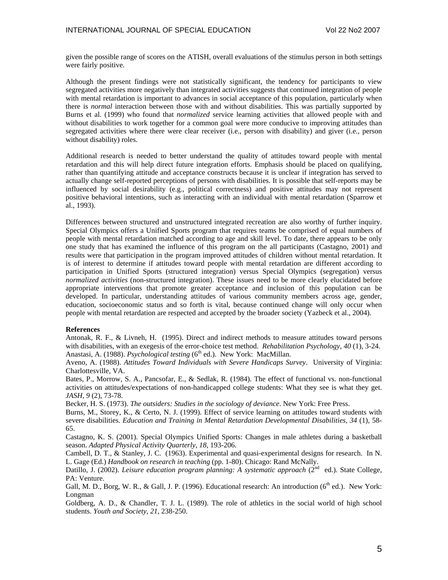given the possible range of scores on the ATISH, overall evaluations of the stimulus person in both settings were fairly positive.

Although the present findings were not statistically significant, the tendency for participants to view segregated activities more negatively than integrated activities suggests that continued integration of people with mental retardation is important to advances in social acceptance of this population, particularly when there is *normal* interaction between those with and without disabilities. This was partially supported by Burns et al. (1999) who found that *normalized* service learning activities that allowed people with and without disabilities to work together for a common goal were more conducive to improving attitudes than segregated activities where there were clear receiver (i.e., person with disability) and giver (i.e., person without disability) roles.

Additional research is needed to better understand the quality of attitudes toward people with mental retardation and this will help direct future integration efforts. Emphasis should be placed on qualifying, rather than quantifying attitude and acceptance constructs because it is unclear if integration has served to actually change self-reported perceptions of persons with disabilities. It is possible that self-reports may be influenced by social desirability (e.g., political correctness) and positive attitudes may not represent positive behavioral intentions, such as interacting with an individual with mental retardation (Sparrow et al., 1993).

Differences between structured and unstructured integrated recreation are also worthy of further inquiry. Special Olympics offers a Unified Sports program that requires teams be comprised of equal numbers of people with mental retardation matched according to age and skill level. To date, there appears to be only one study that has examined the influence of this program on the all participants (Castagno, 2001) and results were that participation in the program improved attitudes of children without mental retardation. It is of interest to determine if attitudes toward people with mental retardation are different according to participation in Unified Sports (structured integration) versus Special Olympics (segregation) versus *normalized activities* (non-structured integration). These issues need to be more clearly elucidated before appropriate interventions that promote greater acceptance and inclusion of this population can be developed. In particular, understanding attitudes of various community members across age, gender, education, socioeconomic status and so forth is vital, because continued change will only occur when people with mental retardation are respected and accepted by the broader society (Yazbeck et al., 2004).

#### **References**

Antonak, R. F., & Livneh, H. (1995). Direct and indirect methods to measure attitudes toward persons with disabilities, with an exegesis of the error-choice test method. *Rehabilitation Psychology, 40* (1), 3-24. Anastasi, A. (1988). *Psychological testing* (6<sup>th</sup> ed.). New York: MacMillan.

Aveno, A. (1988). *Attitudes Toward Individuals with Severe Handicaps Survey*. University of Virginia: Charlottesville, VA.

Bates, P., Morrow, S. A., Pancsofar, E., & Sedlak, R. (1984). The effect of functional vs. non-functional activities on attitudes/expectations of non-handicapped college students: What they see is what they get. *JASH, 9* (2), 73-78.

Becker, H. S. (1973). *The outsiders: Studies in the sociology of deviance*. New York: Free Press.

Burns, M., Storey, K., & Certo, N. J. (1999). Effect of service learning on attitudes toward students with severe disabilities. *Education and Training in Mental Retardation Developmental Disabilities, 34* (1), 58- 65.

Castagno, K. S. (2001). Special Olympics Unified Sports: Changes in male athletes during a basketball season. *Adapted Physical Activity Quarterly, 18*, 193-206.

Cambell, D. T., & Stanley, J. C. (1963). Experimental and quasi-experimental designs for research. In N. L. Gage (Ed.) *Handbook on research in teaching* (pp. 1-80). Chicago: Rand McNally.

Datillo, J. (2002). *Leisure education program planning: A systematic approach* (2<sup>nd</sup> ed.). State College, PA: Venture.

Gall, M. D., Borg, W. R., & Gall, J. P. (1996). Educational research: An introduction ( $6<sup>th</sup>$  ed.). New York: Longman

Goldberg, A. D., & Chandler, T. J. L. (1989). The role of athletics in the social world of high school students. *Youth and Society, 21*, 238-250.